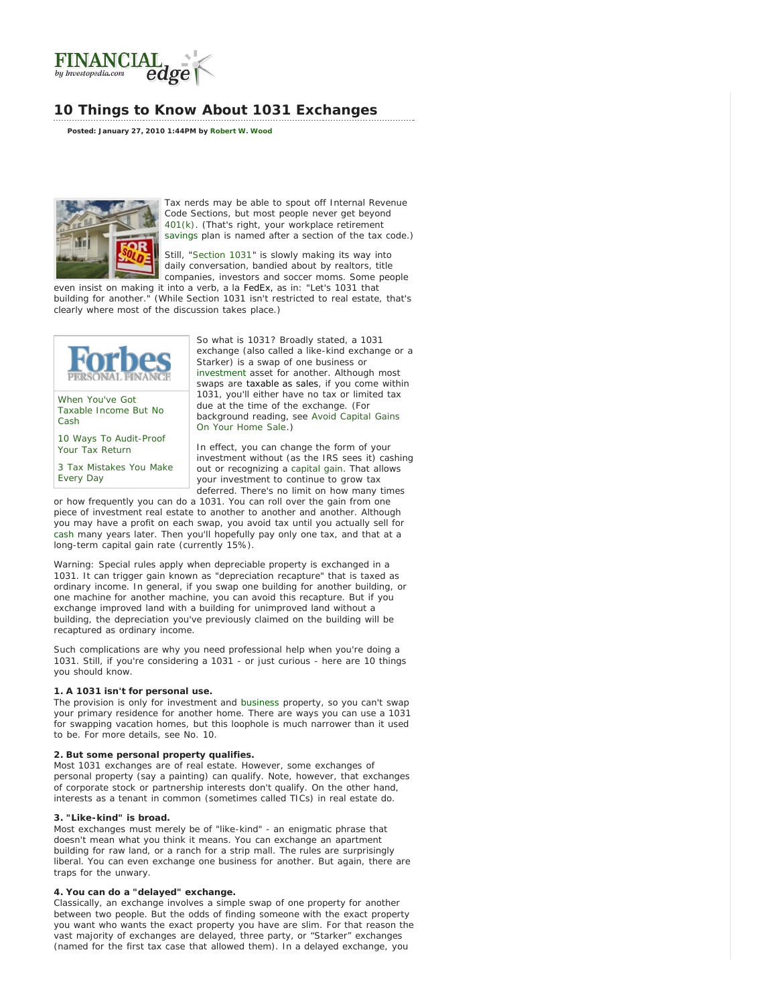<span id="page-0-0"></span>

# **10 Things to Know About 1031 Exchanges**

**Posted: January 27, 2010 1:44PM by [Robert W. Wood](http://www.investopedia.com/contributors/default.aspx?id=394)**



Tax nerds may be able to spout off Internal Revenue Code Sections, but most people never get beyond [401\(k\).](http://www.investopedia.com/terms/1/401kplan.asp) (That's right, your workplace retirement [savings](#page-0-0) plan is named after a section of the tax code.)

Still, "[Section 1031](http://www.investopedia.com/terms/s/section1031.asp)" is slowly making its way into daily conversation, bandied about by realtors, title companies, investors and soccer moms. Some people

even insist on making it into a verb, a la FedEx, as in: "Let's 1031 that building for another." (While Section 1031 isn't restricted to real estate While Section 1031 isn't restricted to real estate, that's clearly where most of the discussion takes place.)



[When You've](http://www.forbes.com/2009/10/12/tax-cancelled-debt-deferred-income-personal-finance-wood.html) Got Taxable [Income But No](http://www.forbes.com/2009/10/12/tax-cancelled-debt-deferred-income-personal-finance-wood.html) **[Cash](http://www.forbes.com/2009/10/12/tax-cancelled-debt-deferred-income-personal-finance-wood.html)** 

[10 Ways To Audit-Proof](http://www.forbes.com/2009/11/03/audit-proof-tax-return-irs-personal-finance-wood.html) [Your Tax Return](http://www.forbes.com/2009/11/03/audit-proof-tax-return-irs-personal-finance-wood.html)

[3 Tax Mistakes You Make](http://www.forbes.com/2009/10/23/three-tax-mistakes-irs-audits-personal-finance-wood.html) [Every Day](http://www.forbes.com/2009/10/23/three-tax-mistakes-irs-audits-personal-finance-wood.html)

So what is 1031? Broadly stated, a 1031 exchange (also called a like-kind exchange or a Starker) is a swap of one business or [investment](#page-0-0) asset for another. Although most swaps are taxable as sales, if you come within 1031, you'll either have no tax or limited tax due at the time of the exchange. (For background reading, see *Avoid [Capital Gains](http://www.investopedia.com/articles/06/section1031exchange.asp) [On Your Home Sale](http://www.investopedia.com/articles/06/section1031exchange.asp)*.)

In effect, you can change the form of your investment without (as the IRS sees it) cashing out or recognizing a [capital gain.](http://www.investopedia.com/terms/c/capitalgain.asp) That allows your investment to continue to grow tax deferred. There's no limit on how many times

or how frequently you can do a 1031. You can roll over the gain from one piece of investment real estate to another to another and another. Although you may have a profit on each swap, you avoid tax until you actually sell for [cash](#page-0-0) many years later. Then you'll hopefully pay only one tax, and that at a long-term capital gain rate (currently 15%).

Warning: Special rules apply when depreciable property is exchanged in a 1031. It can trigger gain known as "depreciation recapture" that is taxed as ordinary income. In general, if you swap one building for another building, or one machine for another machine, you can avoid this recapture. But if you exchange improved land with a building for unimproved land without a building, the depreciation you've previously claimed on the building will be recaptured as ordinary income.

Such complications are why you need professional help when you're doing a 1031. Still, if you're considering a 1031 - or just curious - here are 10 things you should know.

## **1. A 1031 isn't for personal use.**

The provision is only for investment and [business](#page-0-0) property, so you can't swap your primary residence for another home. There are ways you can use a 1031 for swapping vacation homes, but this loophole is much narrower than it used to be. For more details, see No. 10.

# **2. But some personal property qualifies.**

Most 1031 exchanges are of real estate. However, some exchanges of personal property (say a painting) can qualify. Note, however, that exchanges of corporate stock or partnership interests don't qualify. On the other hand, interests as a tenant in common (sometimes called TICs) in real estate do.

### **3. "Like-kind" is broad.**

Most exchanges must merely be of "like-kind" - an enigmatic phrase that doesn't mean what you think it means. You can exchange an apartment building for raw land, or a ranch for a strip mall. The rules are surprisingly liberal. You can even exchange one business for another. But again, there are traps for the unwary.

# **4. You can do a "delayed" exchange.**

Classically, an exchange involves a simple swap of one property for another between two people. But the odds of finding someone with the exact property you want who wants the exact property you have are slim. For that reason the vast majority of exchanges are delayed, three party, or "Starker" exchanges (named for the first tax case that allowed them). In a delayed exchange, you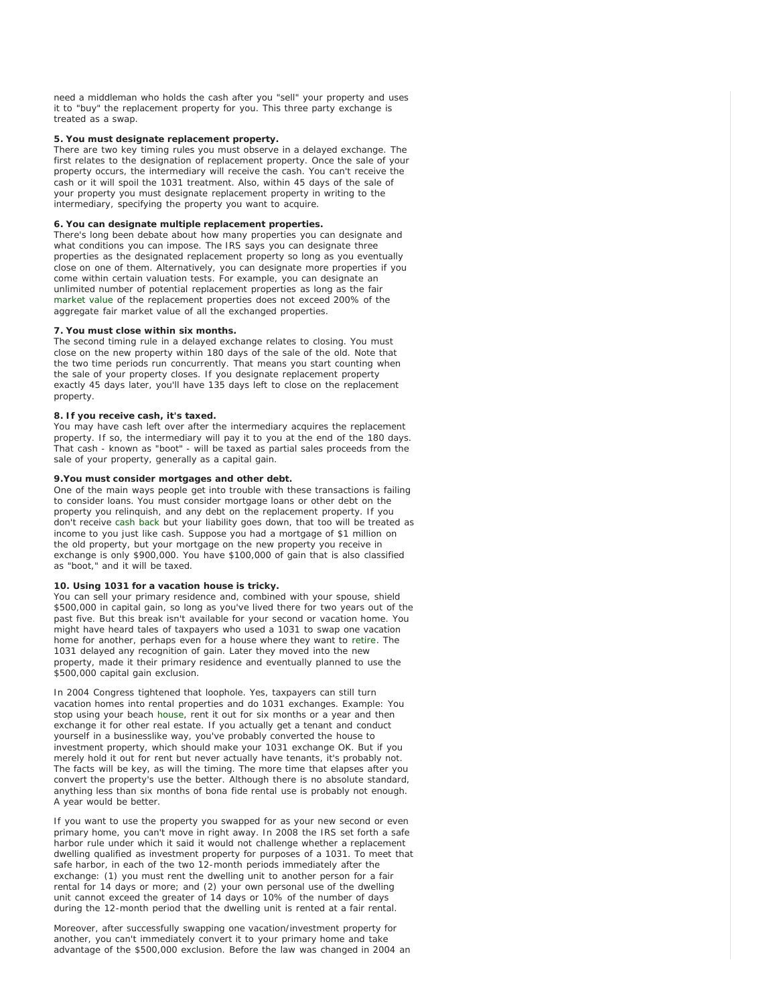need a middleman who holds the cash after you "sell" your property and uses it to "buy" the replacement property for you. This three party exchange is treated as a swap.

#### **5. You must designate replacement property.**

There are two key timing rules you must observe in a delayed exchange. The first relates to the designation of replacement property. Once the sale of your property occurs, the intermediary will receive the cash. You can't receive the cash or it will spoil the 1031 treatment. Also, within 45 days of the sale of your property you must designate replacement property in writing to the intermediary, specifying the property you want to acquire.

#### **6. You can designate multiple replacement properties.**

There's long been debate about how many properties you can designate and what conditions you can impose. The IRS says you can designate three properties as the designated replacement property so long as you eventually close on one of them. Alternatively, you can designate more properties if you come within certain valuation tests. For example, you can designate an unlimited number of potential replacement properties as long as the fair [market value](#page-0-0) of the replacement properties does not exceed 200% of the aggregate fair market value of all the exchanged properties.

#### **7. You must close within six months.**

The second timing rule in a delayed exchange relates to closing. You must close on the new property within 180 days of the sale of the old. Note that the two time periods run concurrently. That means you start counting when the sale of your property closes. If you designate replacement property exactly 45 days later, you'll have 135 days left to close on the replacement property.

#### **8. If you receive cash, it's taxed.**

You may have cash left over after the intermediary acquires the replacement property. If so, the intermediary will pay it to you at the end of the 180 days. That cash - known as "boot" - will be taxed as partial sales proceeds from the sale of your property, generally as a capital gain.

#### **9.You must consider mortgages and other debt.**

One of the main ways people get into trouble with these transactions is failing to consider loans. You must consider mortgage loans or other debt on the property you relinquish, and any debt on the replacement property. If you don't receive [cash back](#page-0-0) but your liability goes down, that too will be treated as income to you just like cash. Suppose you had a mortgage of \$1 million on the old property, but your mortgage on the new property you receive in exchange is only \$900,000. You have \$100,000 of gain that is also classified as "boot," and it will be taxed.

### **10. Using 1031 for a vacation house is tricky.**

You can sell your primary residence and, combined with your spouse, shield \$500,000 in capital gain, so long as you've lived there for two years out of the past five. But this break isn't available for your second or vacation home. You might have heard tales of taxpayers who used a 1031 to swap one vacation home for another, perhaps even for a house where they want to [retire](#page-0-0). The 1031 delayed any recognition of gain. Later they moved into the new property, made it their primary residence and eventually planned to use the \$500,000 capital gain exclusion.

In 2004 Congress tightened that loophole. Yes, taxpayers can still turn vacation homes into rental properties and do 1031 exchanges. Example: You stop using your beach [house,](#page-0-0) rent it out for six months or a year and then exchange it for other real estate. If you actually get a tenant and conduct yourself in a businesslike way, you've probably converted the house to investment property, which should make your 1031 exchange OK. But if you merely hold it out for rent but never actually have tenants, it's probably not. The facts will be key, as will the timing. The more time that elapses after you convert the property's use the better. Although there is no absolute standard, anything less than six months of bona fide rental use is probably not enough. A year would be better.

If you want to use the property you swapped for as your new second or even primary home, you can't move in right away. In 2008 the IRS set forth a safe harbor rule under which it said it would not challenge whether a replacement dwelling qualified as investment property for purposes of a 1031. To meet that safe harbor, in each of the two 12-month periods immediately after the exchange: (1) you must rent the dwelling unit to another person for a fair rental for 14 days or more; and (2) your own personal use of the dwelling unit cannot exceed the greater of 14 days or 10% of the number of days during the 12-month period that the dwelling unit is rented at a fair rental.

Moreover, after successfully swapping one vacation/investment property for another, you can't immediately convert it to your primary home and take advantage of the \$500,000 exclusion. Before the law was changed in 2004 an